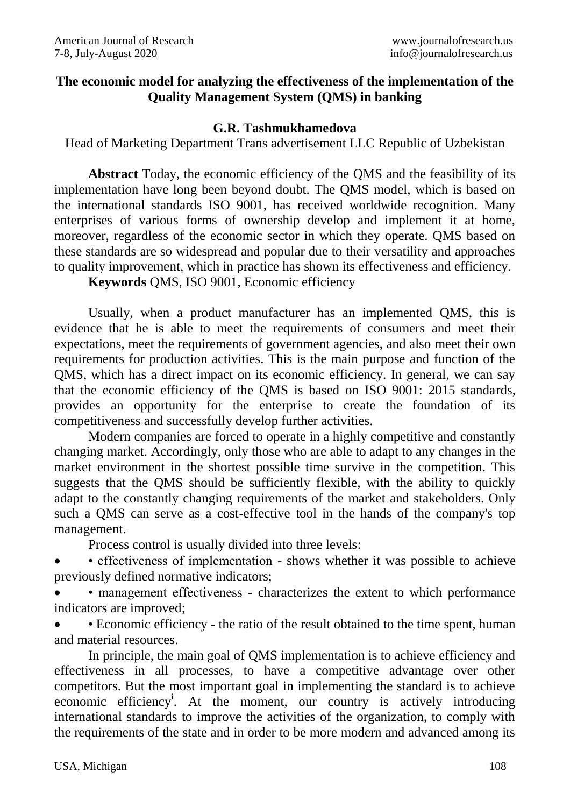## **The economic model for analyzing the effectiveness of the implementation of the Quality Management System (QMS) in banking**

#### **G.R. Tashmukhamedova**

Head of Marketing Department Trans advertisement LLC Republic of Uzbekistan

**Abstract** Today, the economic efficiency of the QMS and the feasibility of its implementation have long been beyond doubt. The QMS model, which is based on the international standards ISO 9001, has received worldwide recognition. Many enterprises of various forms of ownership develop and implement it at home, moreover, regardless of the economic sector in which they operate. QMS based on these standards are so widespread and popular due to their versatility and approaches to quality improvement, which in practice has shown its effectiveness and efficiency.

**Keywords** QMS, ISO 9001, Economic efficiency

Usually, when a product manufacturer has an implemented QMS, this is evidence that he is able to meet the requirements of consumers and meet their expectations, meet the requirements of government agencies, and also meet their own requirements for production activities. This is the main purpose and function of the QMS, which has a direct impact on its economic efficiency. In general, we can say that the economic efficiency of the QMS is based on ISO 9001: 2015 standards, provides an opportunity for the enterprise to create the foundation of its competitiveness and successfully develop further activities.

Modern companies are forced to operate in a highly competitive and constantly changing market. Accordingly, only those who are able to adapt to any changes in the market environment in the shortest possible time survive in the competition. This suggests that the QMS should be sufficiently flexible, with the ability to quickly adapt to the constantly changing requirements of the market and stakeholders. Only such a QMS can serve as a cost-effective tool in the hands of the company's top management.

Process control is usually divided into three levels:

 • effectiveness of implementation - shows whether it was possible to achieve previously defined normative indicators;

 • management effectiveness - characterizes the extent to which performance indicators are improved;

 • Economic efficiency - the ratio of the result obtained to the time spent, human and material resources.

In principle, the main goal of QMS implementation is to achieve efficiency and effectiveness in all processes, to have a competitive advantage over other competitors. But the most important goal in implementing the standard is to achieve economic efficiency<sup>i</sup>. At the moment, our country is actively introducing international standards to improve the activities of the organization, to comply with the requirements of the state and in order to be more modern and advanced among its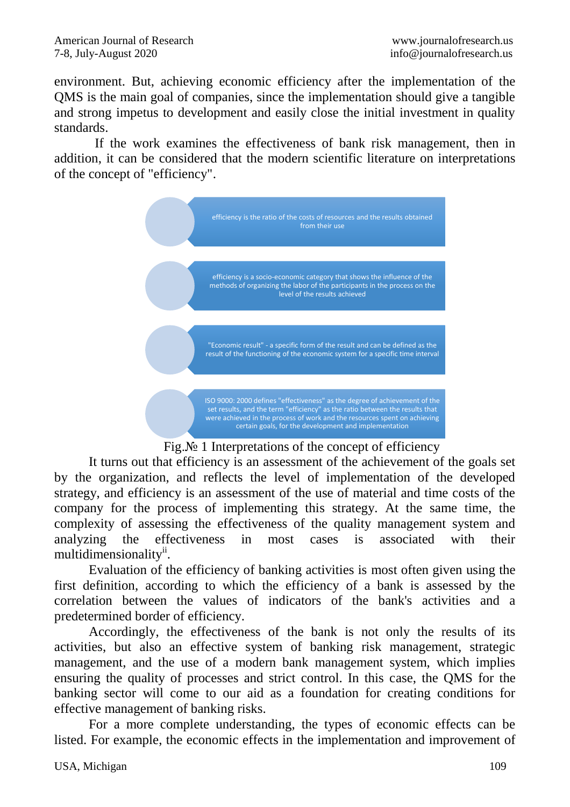environment. But, achieving economic efficiency after the implementation of the QMS is the main goal of companies, since the implementation should give a tangible and strong impetus to development and easily close the initial investment in quality standards.

 If the work examines the effectiveness of bank risk management, then in addition, it can be considered that the modern scientific literature on interpretations of the concept of "efficiency".





It turns out that efficiency is an assessment of the achievement of the goals set by the organization, and reflects the level of implementation of the developed strategy, and efficiency is an assessment of the use of material and time costs of the company for the process of implementing this strategy. At the same time, the complexity of assessing the effectiveness of the quality management system and analyzing the effectiveness in most cases is associated with their multidimensionality<sup>ii</sup>.

Evaluation of the efficiency of banking activities is most often given using the first definition, according to which the efficiency of a bank is assessed by the correlation between the values of indicators of the bank's activities and a predetermined border of efficiency.

Accordingly, the effectiveness of the bank is not only the results of its activities, but also an effective system of banking risk management, strategic management, and the use of a modern bank management system, which implies ensuring the quality of processes and strict control. In this case, the QMS for the banking sector will come to our aid as a foundation for creating conditions for effective management of banking risks.

For a more complete understanding, the types of economic effects can be listed. For example, the economic effects in the implementation and improvement of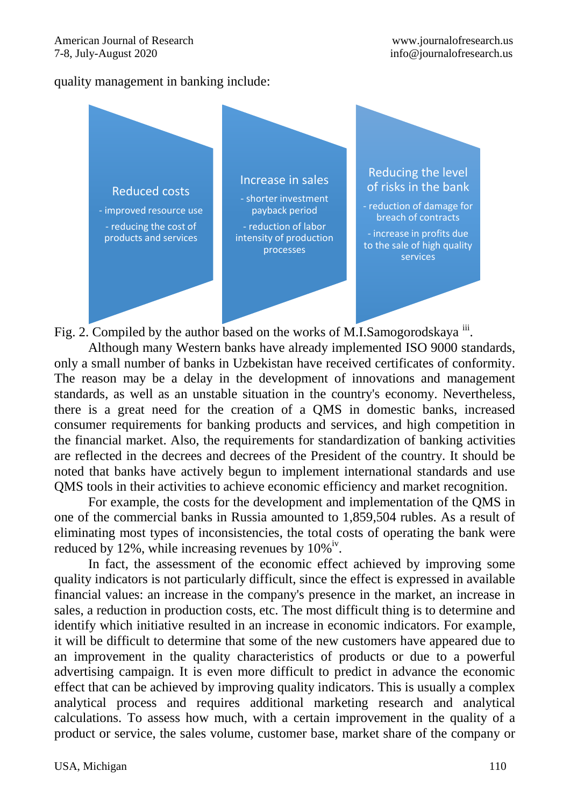#### quality management in banking include:



Fig. 2. Compiled by the author based on the works of M.I.Samogorodskaya iii.

Although many Western banks have already implemented ISO 9000 standards, only a small number of banks in Uzbekistan have received certificates of conformity. The reason may be a delay in the development of innovations and management standards, as well as an unstable situation in the country's economy. Nevertheless, there is a great need for the creation of a QMS in domestic banks, increased consumer requirements for banking products and services, and high competition in the financial market. Also, the requirements for standardization of banking activities are reflected in the decrees and decrees of the President of the country. It should be noted that banks have actively begun to implement international standards and use QMS tools in their activities to achieve economic efficiency and market recognition.

For example, the costs for the development and implementation of the QMS in one of the commercial banks in Russia amounted to 1,859,504 rubles. As a result of eliminating most types of inconsistencies, the total costs of operating the bank were reduced by 12%, while increasing revenues by  $10\%$ <sup>iv</sup>.

In fact, the assessment of the economic effect achieved by improving some quality indicators is not particularly difficult, since the effect is expressed in available financial values: an increase in the company's presence in the market, an increase in sales, a reduction in production costs, etc. The most difficult thing is to determine and identify which initiative resulted in an increase in economic indicators. For example, it will be difficult to determine that some of the new customers have appeared due to an improvement in the quality characteristics of products or due to a powerful advertising campaign. It is even more difficult to predict in advance the economic effect that can be achieved by improving quality indicators. This is usually a complex analytical process and requires additional marketing research and analytical calculations. To assess how much, with a certain improvement in the quality of a product or service, the sales volume, customer base, market share of the company or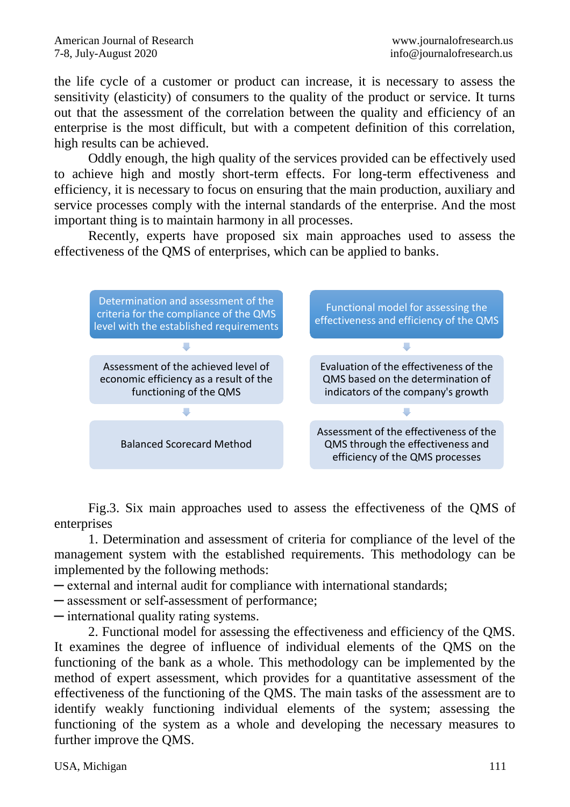the life cycle of a customer or product can increase, it is necessary to assess the sensitivity (elasticity) of consumers to the quality of the product or service. It turns out that the assessment of the correlation between the quality and efficiency of an enterprise is the most difficult, but with a competent definition of this correlation, high results can be achieved.

Oddly enough, the high quality of the services provided can be effectively used to achieve high and mostly short-term effects. For long-term effectiveness and efficiency, it is necessary to focus on ensuring that the main production, auxiliary and service processes comply with the internal standards of the enterprise. And the most important thing is to maintain harmony in all processes.

Recently, experts have proposed six main approaches used to assess the effectiveness of the QMS of enterprises, which can be applied to banks.



Fig.3. Six main approaches used to assess the effectiveness of the QMS of enterprises

1. Determination and assessment of criteria for compliance of the level of the management system with the established requirements. This methodology can be implemented by the following methods:

─ external and internal audit for compliance with international standards;

─ assessment or self-assessment of performance;

─ international quality rating systems.

2. Functional model for assessing the effectiveness and efficiency of the QMS. It examines the degree of influence of individual elements of the QMS on the functioning of the bank as a whole. This methodology can be implemented by the method of expert assessment, which provides for a quantitative assessment of the effectiveness of the functioning of the QMS. The main tasks of the assessment are to identify weakly functioning individual elements of the system; assessing the functioning of the system as a whole and developing the necessary measures to further improve the QMS.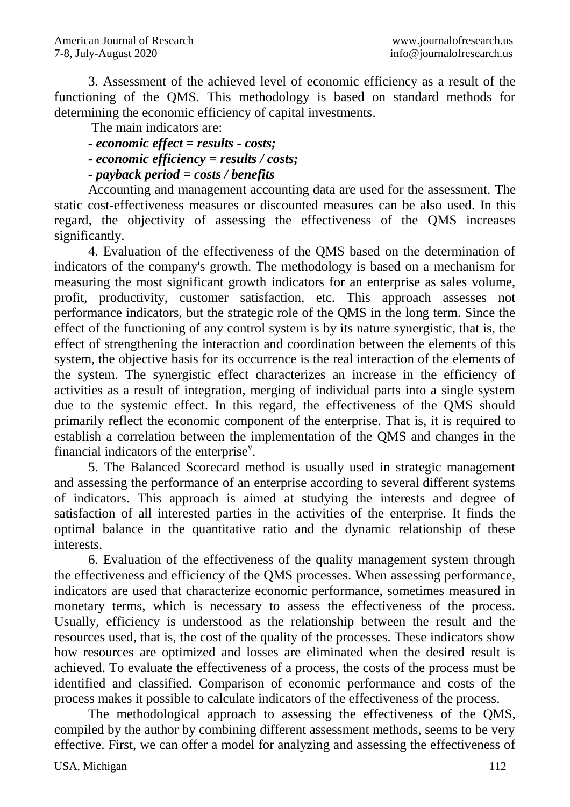3. Assessment of the achieved level of economic efficiency as a result of the functioning of the QMS. This methodology is based on standard methods for determining the economic efficiency of capital investments.

The main indicators are:

- *- economic effect = results - costs;*
- *- economic efficiency = results / costs;*

*- payback period = costs / benefits*

Accounting and management accounting data are used for the assessment. The static cost-effectiveness measures or discounted measures can be also used. In this regard, the objectivity of assessing the effectiveness of the QMS increases significantly.

4. Evaluation of the effectiveness of the QMS based on the determination of indicators of the company's growth. The methodology is based on a mechanism for measuring the most significant growth indicators for an enterprise as sales volume, profit, productivity, customer satisfaction, etc. This approach assesses not performance indicators, but the strategic role of the QMS in the long term. Since the effect of the functioning of any control system is by its nature synergistic, that is, the effect of strengthening the interaction and coordination between the elements of this system, the objective basis for its occurrence is the real interaction of the elements of the system. The synergistic effect characterizes an increase in the efficiency of activities as a result of integration, merging of individual parts into a single system due to the systemic effect. In this regard, the effectiveness of the QMS should primarily reflect the economic component of the enterprise. That is, it is required to establish a correlation between the implementation of the QMS and changes in the financial indicators of the enterprise $v$ .

5. The Balanced Scorecard method is usually used in strategic management and assessing the performance of an enterprise according to several different systems of indicators. This approach is aimed at studying the interests and degree of satisfaction of all interested parties in the activities of the enterprise. It finds the optimal balance in the quantitative ratio and the dynamic relationship of these interests.

6. Evaluation of the effectiveness of the quality management system through the effectiveness and efficiency of the QMS processes. When assessing performance, indicators are used that characterize economic performance, sometimes measured in monetary terms, which is necessary to assess the effectiveness of the process. Usually, efficiency is understood as the relationship between the result and the resources used, that is, the cost of the quality of the processes. These indicators show how resources are optimized and losses are eliminated when the desired result is achieved. To evaluate the effectiveness of a process, the costs of the process must be identified and classified. Comparison of economic performance and costs of the process makes it possible to calculate indicators of the effectiveness of the process.

The methodological approach to assessing the effectiveness of the QMS, compiled by the author by combining different assessment methods, seems to be very effective. First, we can offer a model for analyzing and assessing the effectiveness of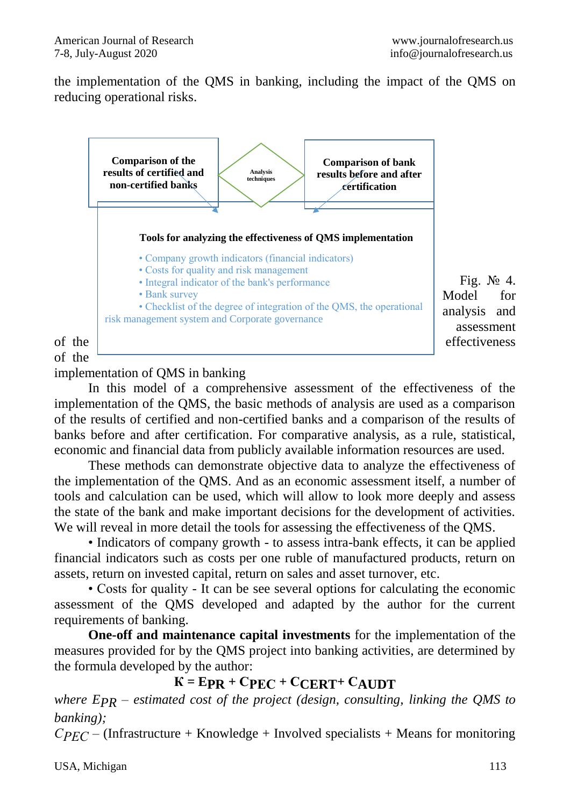the implementation of the QMS in banking, including the impact of the QMS on reducing operational risks.



Fig.  $\mathbb{N}$ <sup>o</sup> 4. Model for analysis and assessment

of the

implementation of QMS in banking

In this model of a comprehensive assessment of the effectiveness of the implementation of the QMS, the basic methods of analysis are used as a comparison of the results of certified and non-certified banks and a comparison of the results of banks before and after certification. For comparative analysis, as a rule, statistical, economic and financial data from publicly available information resources are used.

These methods can demonstrate objective data to analyze the effectiveness of the implementation of the QMS. And as an economic assessment itself, a number of tools and calculation can be used, which will allow to look more deeply and assess the state of the bank and make important decisions for the development of activities. We will reveal in more detail the tools for assessing the effectiveness of the QMS.

• Indicators of company growth - to assess intra-bank effects, it can be applied financial indicators such as costs per one ruble of manufactured products, return on assets, return on invested capital, return on sales and asset turnover, etc.

• Costs for quality - It can be see several options for calculating the economic assessment of the QMS developed and adapted by the author for the current requirements of banking.

**One-off and maintenance capital investments** for the implementation of the measures provided for by the QMS project into banking activities, are determined by the formula developed by the author:

## $K = EPR + CPEC + CCFRT + CATION$

*where EPR – estimated cost of the project (design, consulting, linking the QMS to banking);*

 $CPEC - (Infrastructure + Knowledge + Involved specialists + Means for monitoring$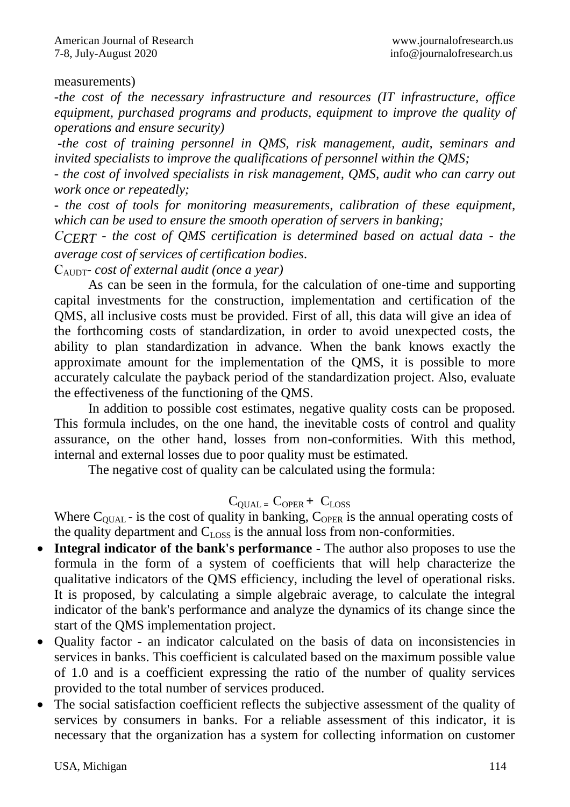#### measurements)

*-the cost of the necessary infrastructure and resources (IT infrastructure, office equipment, purchased programs and products, equipment to improve the quality of operations and ensure security)*

*-the cost of training personnel in QMS, risk management, audit, seminars and invited specialists to improve the qualifications of personnel within the QMS;*

*- the cost of involved specialists in risk management, QMS, audit who can carry out work once or repeatedly;*

*- the cost of tools for monitoring measurements, calibration of these equipment, which can be used to ensure the smooth operation of servers in banking;*

*СCERT - the cost of QMS certification is determined based on actual data - the average cost of services of certification bodies.* 

СAUDT*- cost of external audit (once a year)*

As can be seen in the formula, for the calculation of one-time and supporting capital investments for the construction, implementation and certification of the QMS, all inclusive costs must be provided. First of all, this data will give an idea of the forthcoming costs of standardization, in order to avoid unexpected costs, the ability to plan standardization in advance. When the bank knows exactly the approximate amount for the implementation of the QMS, it is possible to more accurately calculate the payback period of the standardization project. Also, evaluate the effectiveness of the functioning of the QMS.

In addition to possible cost estimates, negative quality costs can be proposed. This formula includes, on the one hand, the inevitable costs of control and quality assurance, on the other hand, losses from non-conformities. With this method, internal and external losses due to poor quality must be estimated.

The negative cost of quality can be calculated using the formula:

## $C_{\text{OLIAL}} = C_{\text{OPER}} + C_{\text{LOS}}$

Where  $C_{\text{OLAL}}$  - is the cost of quality in banking,  $C_{\text{OPER}}$  is the annual operating costs of the quality department and  $C_{\text{LOS}}$  is the annual loss from non-conformities.

- **Integral indicator of the bank's performance**  The author also proposes to use the formula in the form of a system of coefficients that will help characterize the qualitative indicators of the QMS efficiency, including the level of operational risks. It is proposed, by calculating a simple algebraic average, to calculate the integral indicator of the bank's performance and analyze the dynamics of its change since the start of the QMS implementation project.
- Quality factor an indicator calculated on the basis of data on inconsistencies in services in banks. This coefficient is calculated based on the maximum possible value of 1.0 and is a coefficient expressing the ratio of the number of quality services provided to the total number of services produced.
- The social satisfaction coefficient reflects the subjective assessment of the quality of services by consumers in banks. For a reliable assessment of this indicator, it is necessary that the organization has a system for collecting information on customer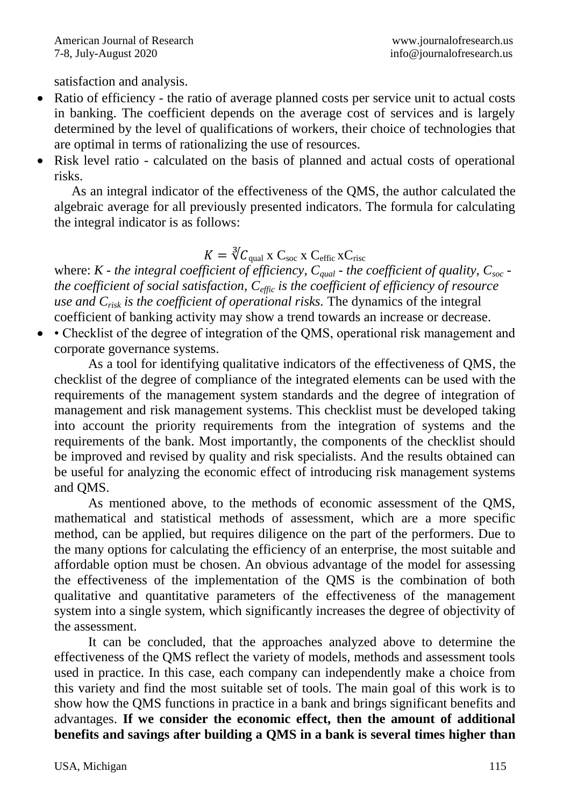satisfaction and analysis.

- Ratio of efficiency the ratio of average planned costs per service unit to actual costs in banking. The coefficient depends on the average cost of services and is largely determined by the level of qualifications of workers, their choice of technologies that are optimal in terms of rationalizing the use of resources.
- Risk level ratio calculated on the basis of planned and actual costs of operational risks.

As an integral indicator of the effectiveness of the QMS, the author calculated the algebraic average for all previously presented indicators. The formula for calculating the integral indicator is as follows:

# $K = \sqrt[3]{C_{\text{qual}}} \times C_{\text{soc}} \times C_{\text{effic}} \times C_{\text{rise}}$

where: *K - the integral coefficient of efficiency, Cqual - the coefficient of quality, Csoc the coefficient of social satisfaction, Ceffic is the coefficient of efficiency of resource use and Crisk is the coefficient of operational risks.* The dynamics of the integral coefficient of banking activity may show a trend towards an increase or decrease.

 • Checklist of the degree of integration of the QMS, operational risk management and corporate governance systems.

As a tool for identifying qualitative indicators of the effectiveness of QMS, the checklist of the degree of compliance of the integrated elements can be used with the requirements of the management system standards and the degree of integration of management and risk management systems. This checklist must be developed taking into account the priority requirements from the integration of systems and the requirements of the bank. Most importantly, the components of the checklist should be improved and revised by quality and risk specialists. And the results obtained can be useful for analyzing the economic effect of introducing risk management systems and QMS.

As mentioned above, to the methods of economic assessment of the QMS, mathematical and statistical methods of assessment, which are a more specific method, can be applied, but requires diligence on the part of the performers. Due to the many options for calculating the efficiency of an enterprise, the most suitable and affordable option must be chosen. An obvious advantage of the model for assessing the effectiveness of the implementation of the QMS is the combination of both qualitative and quantitative parameters of the effectiveness of the management system into a single system, which significantly increases the degree of objectivity of the assessment.

It can be concluded, that the approaches analyzed above to determine the effectiveness of the QMS reflect the variety of models, methods and assessment tools used in practice. In this case, each company can independently make a choice from this variety and find the most suitable set of tools. The main goal of this work is to show how the QMS functions in practice in a bank and brings significant benefits and advantages. **If we consider the economic effect, then the amount of additional benefits and savings after building a QMS in a bank is several times higher than**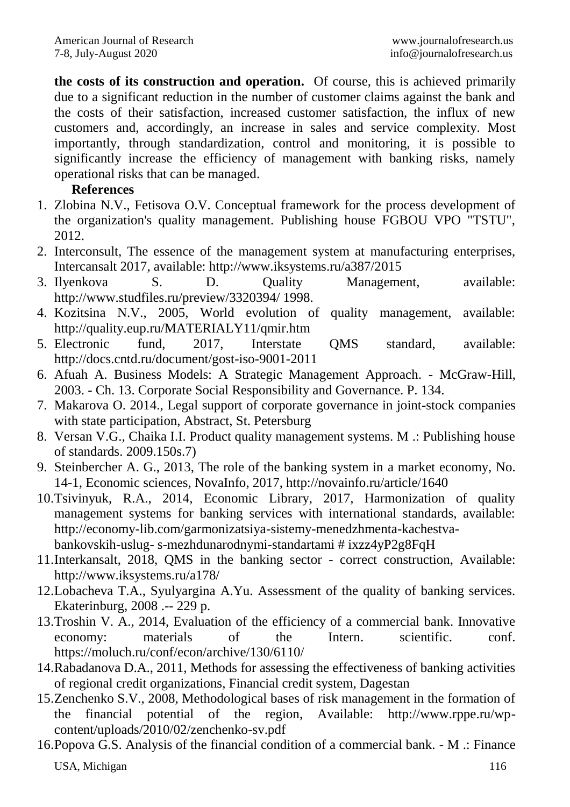**the costs of its construction and operation.** Of course, this is achieved primarily due to a significant reduction in the number of customer claims against the bank and the costs of their satisfaction, increased customer satisfaction, the influx of new customers and, accordingly, an increase in sales and service complexity. Most importantly, through standardization, control and monitoring, it is possible to significantly increase the efficiency of management with banking risks, namely operational risks that can be managed.

## **References**

- 1. Zlobina N.V., Fetisova O.V. Conceptual framework for the process development of the organization's quality management. Publishing house FGBOU VPO "TSTU", 2012.
- 2. Interconsult, The essence of the management system at manufacturing enterprises, Intercansalt 2017, available: http://www.iksystems.ru/a387/2015
- 3. Ilyenkova S. D. Quality Management, available: http://www.studfiles.ru/preview/3320394/ 1998.
- 4. Kozitsina N.V., 2005, World evolution of quality management, available: http://quality.eup.ru/MATERIALY11/qmir.htm
- 5. Electronic fund, 2017, Interstate QMS standard, available: http://docs.cntd.ru/document/gost-iso-9001-2011
- 6. Afuah A. Business Models: A Strategic Management Approach. McGraw-Hill, 2003. - Ch. 13. Corporate Social Responsibility and Governance. P. 134.
- 7. Makarova O. 2014., Legal support of corporate governance in joint-stock companies with state participation, Abstract, St. Petersburg
- 8. Versan V.G., Chaika I.I. Product quality management systems. M .: Publishing house of standards. 2009.150s.7)
- 9. Steinbercher A. G., 2013, The role of the banking system in a market economy, No. 14-1, Economic sciences, NovaInfo, 2017, http://novainfo.ru/article/1640
- 10.Tsivinyuk, R.A., 2014, Economic Library, 2017, Harmonization of quality management systems for banking services with international standards, available: http://economy-lib.com/garmonizatsiya-sistemy-menedzhmenta-kachestvabankovskih-uslug- s-mezhdunarodnymi-standartami # ixzz4yP2g8FqH
- 11.Interkansalt, 2018, QMS in the banking sector correct construction, Available: http://www.iksystems.ru/a178/
- 12.Lobacheva T.A., Syulyargina A.Yu. Assessment of the quality of banking services. Ekaterinburg, 2008 .-- 229 p.
- 13.Troshin V. A., 2014, Evaluation of the efficiency of a commercial bank. Innovative economy: materials of the Intern. scientific. conf. https://moluch.ru/conf/econ/archive/130/6110/
- 14.Rabadanova D.A., 2011, Methods for assessing the effectiveness of banking activities of regional credit organizations, Financial credit system, Dagestan
- 15.Zenchenko S.V., 2008, Methodological bases of risk management in the formation of the financial potential of the region, Available: http://www.rppe.ru/wpcontent/uploads/2010/02/zenchenko-sv.pdf
- USA, Michigan 116 16.Popova G.S. Analysis of the financial condition of a commercial bank. - M .: Finance